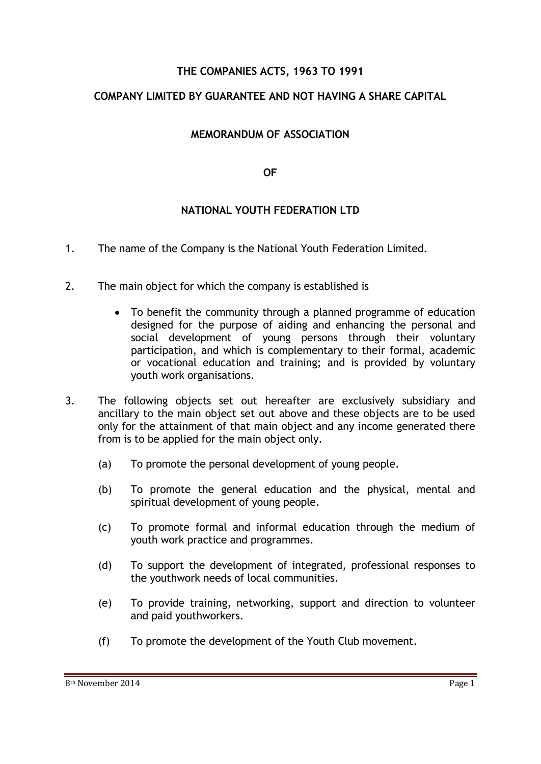## **THE COMPANIES ACTS, 1963 TO 1991**

# **COMPANY LIMITED BY GUARANTEE AND NOT HAVING A SHARE CAPITAL**

## **MEMORANDUM OF ASSOCIATION**

#### **OF**

## **NATIONAL YOUTH FEDERATION LTD**

- 1. The name of the Company is the National Youth Federation Limited.
- 2. The main object for which the company is established is
	- To benefit the community through a planned programme of education designed for the purpose of aiding and enhancing the personal and social development of young persons through their voluntary participation, and which is complementary to their formal, academic or vocational education and training; and is provided by voluntary youth work organisations.
- 3. The following objects set out hereafter are exclusively subsidiary and ancillary to the main object set out above and these objects are to be used only for the attainment of that main object and any income generated there from is to be applied for the main object only.
	- (a) To promote the personal development of young people.
	- (b) To promote the general education and the physical, mental and spiritual development of young people.
	- (c) To promote formal and informal education through the medium of youth work practice and programmes.
	- (d) To support the development of integrated, professional responses to the youthwork needs of local communities.
	- (e) To provide training, networking, support and direction to volunteer and paid youthworkers.
	- (f) To promote the development of the Youth Club movement.

8<sup>th</sup> November 2014 **Page 1**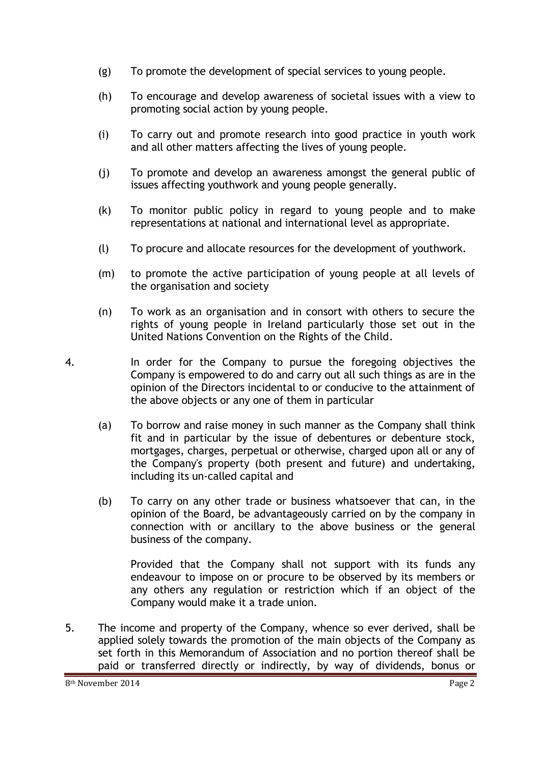- (g) To promote the development of special services to young people.
- (h) To encourage and develop awareness of societal issues with a view to promoting social action by young people.
- (i) To carry out and promote research into good practice in youth work and all other matters affecting the lives of young people.
- (j) To promote and develop an awareness amongst the general public of issues affecting youthwork and young people generally.
- (k) To monitor public policy in regard to young people and to make representations at national and international level as appropriate.
- (l) To procure and allocate resources for the development of youthwork.
- (m) to promote the active participation of young people at all levels of the organisation and society
- (n) To work as an organisation and in consort with others to secure the rights of young people in Ireland particularly those set out in the United Nations Convention on the Rights of the Child.
- 4. In order for the Company to pursue the foregoing objectives the Company is empowered to do and carry out all such things as are in the opinion of the Directors incidental to or conducive to the attainment of the above objects or any one of them in particular
	- (a) To borrow and raise money in such manner as the Company shall think fit and in particular by the issue of debentures or debenture stock, mortgages, charges, perpetual or otherwise, charged upon all or any of the Company's property (both present and future) and undertaking, including its un-called capital and
	- (b) To carry on any other trade or business whatsoever that can, in the opinion of the Board, be advantageously carried on by the company in connection with or ancillary to the above business or the general business of the company.

Provided that the Company shall not support with its funds any endeavour to impose on or procure to be observed by its members or any others any regulation or restriction which if an object of the Company would make it a trade union.

5. The income and property of the Company, whence so ever derived, shall be applied solely towards the promotion of the main objects of the Company as set forth in this Memorandum of Association and no portion thereof shall be paid or transferred directly or indirectly, by way of dividends, bonus or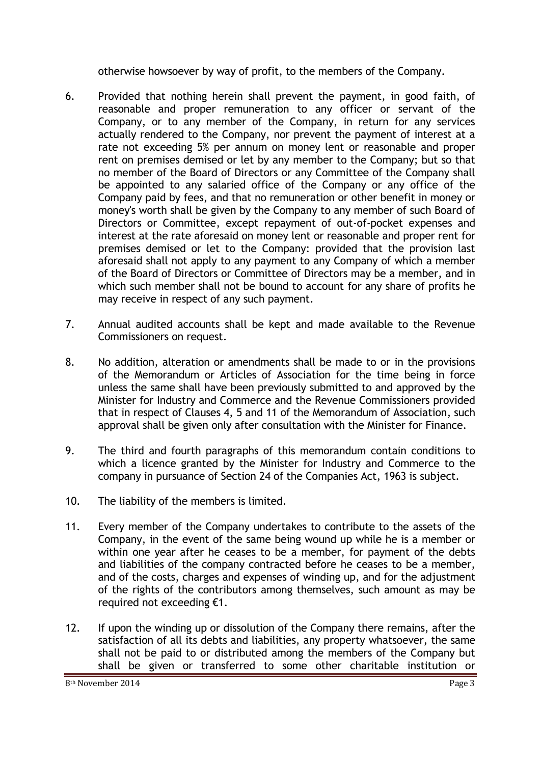otherwise howsoever by way of profit, to the members of the Company.

- 6. Provided that nothing herein shall prevent the payment, in good faith, of reasonable and proper remuneration to any officer or servant of the Company, or to any member of the Company, in return for any services actually rendered to the Company, nor prevent the payment of interest at a rate not exceeding 5% per annum on money lent or reasonable and proper rent on premises demised or let by any member to the Company; but so that no member of the Board of Directors or any Committee of the Company shall be appointed to any salaried office of the Company or any office of the Company paid by fees, and that no remuneration or other benefit in money or money's worth shall be given by the Company to any member of such Board of Directors or Committee, except repayment of out-of-pocket expenses and interest at the rate aforesaid on money lent or reasonable and proper rent for premises demised or let to the Company: provided that the provision last aforesaid shall not apply to any payment to any Company of which a member of the Board of Directors or Committee of Directors may be a member, and in which such member shall not be bound to account for any share of profits he may receive in respect of any such payment.
- 7. Annual audited accounts shall be kept and made available to the Revenue Commissioners on request.
- 8. No addition, alteration or amendments shall be made to or in the provisions of the Memorandum or Articles of Association for the time being in force unless the same shall have been previously submitted to and approved by the Minister for Industry and Commerce and the Revenue Commissioners provided that in respect of Clauses 4, 5 and 11 of the Memorandum of Association, such approval shall be given only after consultation with the Minister for Finance.
- 9. The third and fourth paragraphs of this memorandum contain conditions to which a licence granted by the Minister for Industry and Commerce to the company in pursuance of Section 24 of the Companies Act, 1963 is subject.
- 10. The liability of the members is limited.
- 11. Every member of the Company undertakes to contribute to the assets of the Company, in the event of the same being wound up while he is a member or within one year after he ceases to be a member, for payment of the debts and liabilities of the company contracted before he ceases to be a member, and of the costs, charges and expenses of winding up, and for the adjustment of the rights of the contributors among themselves, such amount as may be required not exceeding €1.
- 12. If upon the winding up or dissolution of the Company there remains, after the satisfaction of all its debts and liabilities, any property whatsoever, the same shall not be paid to or distributed among the members of the Company but shall be given or transferred to some other charitable institution or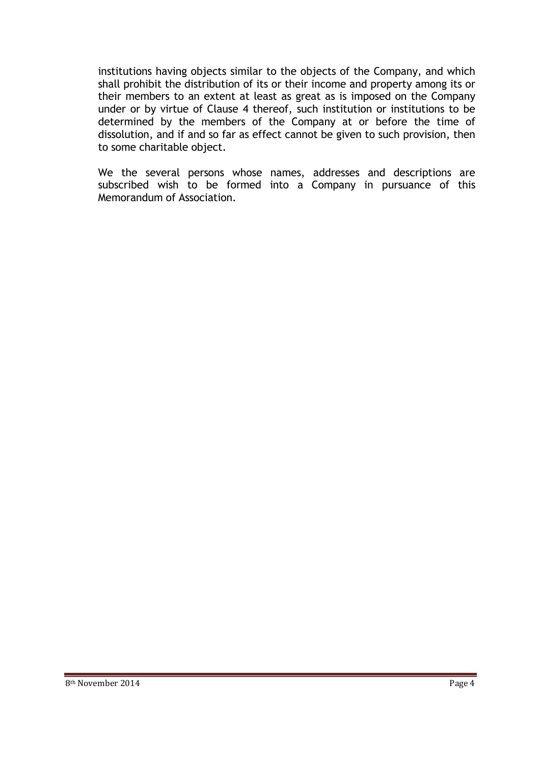institutions having objects similar to the objects of the Company, and which shall prohibit the distribution of its or their income and property among its or their members to an extent at least as great as is imposed on the Company under or by virtue of Clause 4 thereof, such institution or institutions to be determined by the members of the Company at or before the time of dissolution, and if and so far as effect cannot be given to such provision, then to some charitable object.

We the several persons whose names, addresses and descriptions are subscribed wish to be formed into a Company in pursuance of this Memorandum of Association.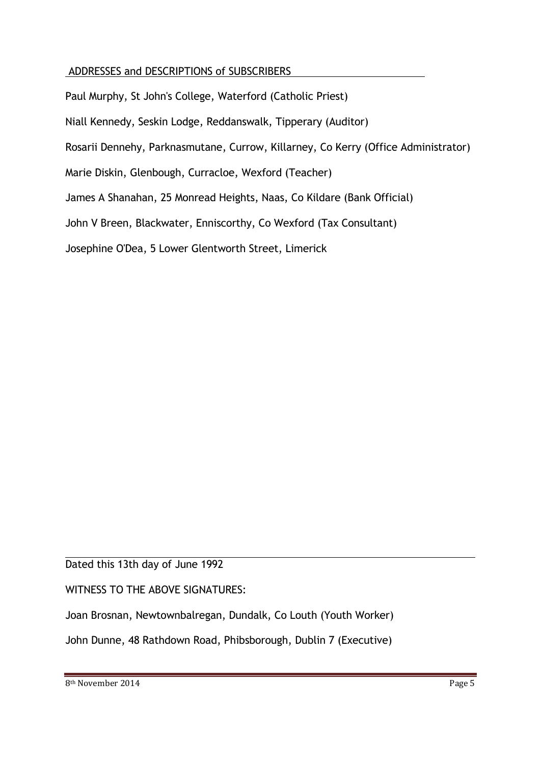# ADDRESSES and DESCRIPTIONS of SUBSCRIBERS

Paul Murphy, St John's College, Waterford (Catholic Priest) Niall Kennedy, Seskin Lodge, Reddanswalk, Tipperary (Auditor) Rosarii Dennehy, Parknasmutane, Currow, Killarney, Co Kerry (Office Administrator) Marie Diskin, Glenbough, Curracloe, Wexford (Teacher) James A Shanahan, 25 Monread Heights, Naas, Co Kildare (Bank Official) John V Breen, Blackwater, Enniscorthy, Co Wexford (Tax Consultant) Josephine O'Dea, 5 Lower Glentworth Street, Limerick

#### $\overline{a}$ Dated this 13th day of June 1992

## WITNESS TO THE ABOVE SIGNATURES:

Joan Brosnan, Newtownbalregan, Dundalk, Co Louth (Youth Worker)

John Dunne, 48 Rathdown Road, Phibsborough, Dublin 7 (Executive)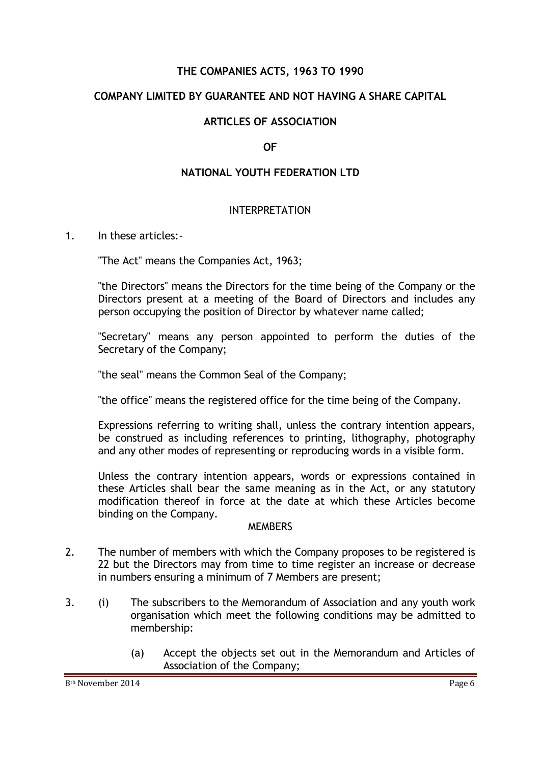#### **THE COMPANIES ACTS, 1963 TO 1990**

#### **COMPANY LIMITED BY GUARANTEE AND NOT HAVING A SHARE CAPITAL**

#### **ARTICLES OF ASSOCIATION**

#### **OF**

#### **NATIONAL YOUTH FEDERATION LTD**

#### INTERPRETATION

1. In these articles:-

"The Act" means the Companies Act, 1963;

"the Directors" means the Directors for the time being of the Company or the Directors present at a meeting of the Board of Directors and includes any person occupying the position of Director by whatever name called;

"Secretary" means any person appointed to perform the duties of the Secretary of the Company;

"the seal" means the Common Seal of the Company;

"the office" means the registered office for the time being of the Company.

Expressions referring to writing shall, unless the contrary intention appears, be construed as including references to printing, lithography, photography and any other modes of representing or reproducing words in a visible form.

Unless the contrary intention appears, words or expressions contained in these Articles shall bear the same meaning as in the Act, or any statutory modification thereof in force at the date at which these Articles become binding on the Company.

#### **MEMBERS**

- 2. The number of members with which the Company proposes to be registered is 22 but the Directors may from time to time register an increase or decrease in numbers ensuring a minimum of 7 Members are present;
- 3. (i) The subscribers to the Memorandum of Association and any youth work organisation which meet the following conditions may be admitted to membership:
	- (a) Accept the objects set out in the Memorandum and Articles of Association of the Company;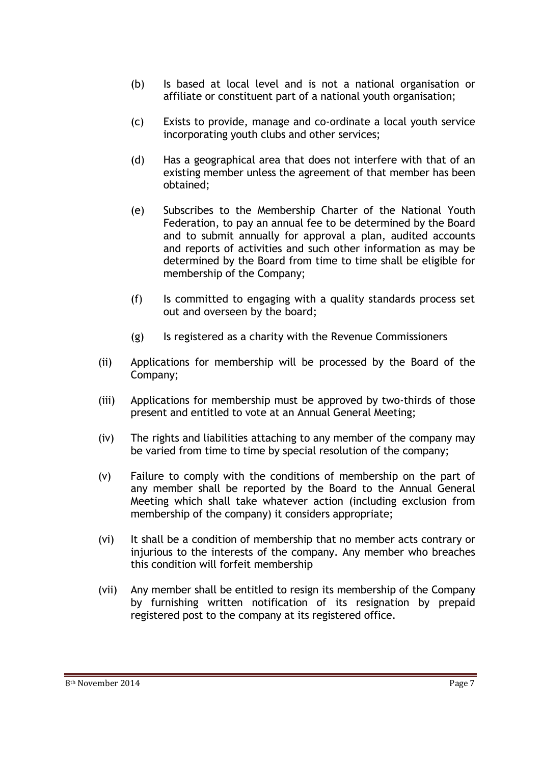- (b) Is based at local level and is not a national organisation or affiliate or constituent part of a national youth organisation;
- (c) Exists to provide, manage and co-ordinate a local youth service incorporating youth clubs and other services;
- (d) Has a geographical area that does not interfere with that of an existing member unless the agreement of that member has been obtained;
- (e) Subscribes to the Membership Charter of the National Youth Federation, to pay an annual fee to be determined by the Board and to submit annually for approval a plan, audited accounts and reports of activities and such other information as may be determined by the Board from time to time shall be eligible for membership of the Company;
- (f) Is committed to engaging with a quality standards process set out and overseen by the board;
- (g) Is registered as a charity with the Revenue Commissioners
- (ii) Applications for membership will be processed by the Board of the Company;
- (iii) Applications for membership must be approved by two-thirds of those present and entitled to vote at an Annual General Meeting;
- (iv) The rights and liabilities attaching to any member of the company may be varied from time to time by special resolution of the company;
- (v) Failure to comply with the conditions of membership on the part of any member shall be reported by the Board to the Annual General Meeting which shall take whatever action (including exclusion from membership of the company) it considers appropriate;
- (vi) It shall be a condition of membership that no member acts contrary or injurious to the interests of the company. Any member who breaches this condition will forfeit membership
- (vii) Any member shall be entitled to resign its membership of the Company by furnishing written notification of its resignation by prepaid registered post to the company at its registered office.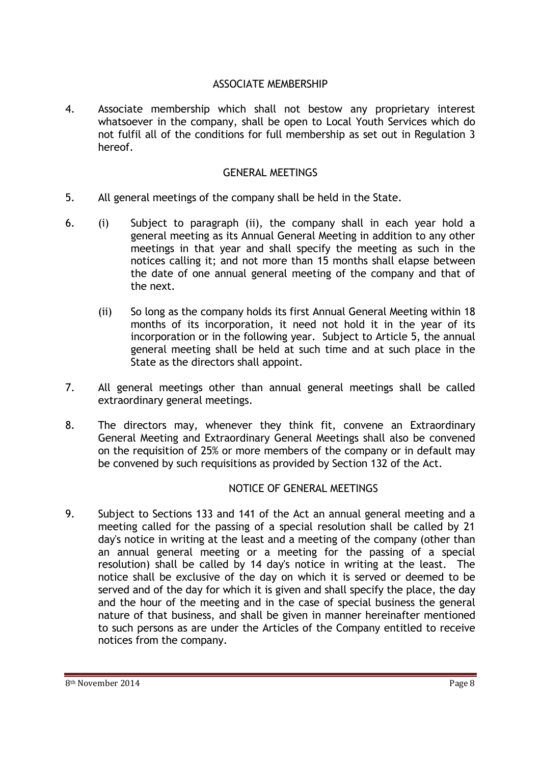#### ASSOCIATE MEMBERSHIP

4. Associate membership which shall not bestow any proprietary interest whatsoever in the company, shall be open to Local Youth Services which do not fulfil all of the conditions for full membership as set out in Regulation 3 hereof.

#### GENERAL MEETINGS

- 5. All general meetings of the company shall be held in the State.
- 6. (i) Subject to paragraph (ii), the company shall in each year hold a general meeting as its Annual General Meeting in addition to any other meetings in that year and shall specify the meeting as such in the notices calling it; and not more than 15 months shall elapse between the date of one annual general meeting of the company and that of the next.
	- (ii) So long as the company holds its first Annual General Meeting within 18 months of its incorporation, it need not hold it in the year of its incorporation or in the following year. Subject to Article 5, the annual general meeting shall be held at such time and at such place in the State as the directors shall appoint.
- 7. All general meetings other than annual general meetings shall be called extraordinary general meetings.
- 8. The directors may, whenever they think fit, convene an Extraordinary General Meeting and Extraordinary General Meetings shall also be convened on the requisition of 25% or more members of the company or in default may be convened by such requisitions as provided by Section 132 of the Act.

## NOTICE OF GENERAL MEETINGS

9. Subject to Sections 133 and 141 of the Act an annual general meeting and a meeting called for the passing of a special resolution shall be called by 21 day's notice in writing at the least and a meeting of the company (other than an annual general meeting or a meeting for the passing of a special resolution) shall be called by 14 day's notice in writing at the least. The notice shall be exclusive of the day on which it is served or deemed to be served and of the day for which it is given and shall specify the place, the day and the hour of the meeting and in the case of special business the general nature of that business, and shall be given in manner hereinafter mentioned to such persons as are under the Articles of the Company entitled to receive notices from the company.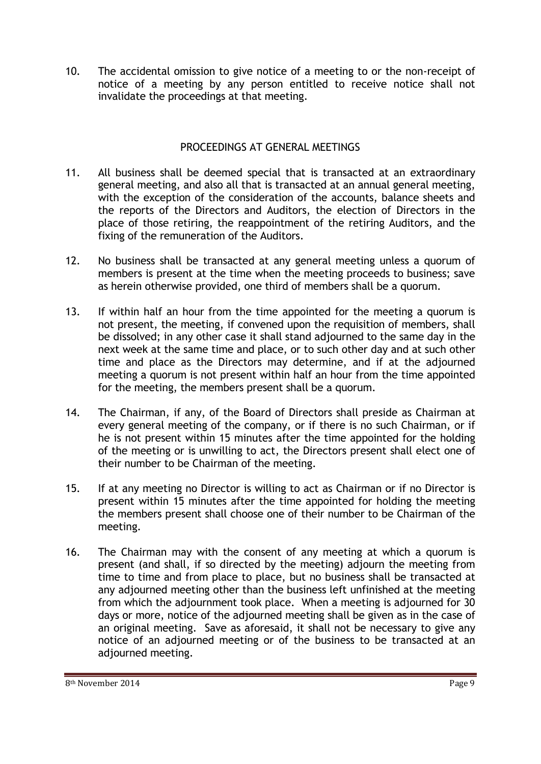10. The accidental omission to give notice of a meeting to or the non-receipt of notice of a meeting by any person entitled to receive notice shall not invalidate the proceedings at that meeting.

# PROCEEDINGS AT GENERAL MEETINGS

- 11. All business shall be deemed special that is transacted at an extraordinary general meeting, and also all that is transacted at an annual general meeting, with the exception of the consideration of the accounts, balance sheets and the reports of the Directors and Auditors, the election of Directors in the place of those retiring, the reappointment of the retiring Auditors, and the fixing of the remuneration of the Auditors.
- 12. No business shall be transacted at any general meeting unless a quorum of members is present at the time when the meeting proceeds to business; save as herein otherwise provided, one third of members shall be a quorum.
- 13. If within half an hour from the time appointed for the meeting a quorum is not present, the meeting, if convened upon the requisition of members, shall be dissolved; in any other case it shall stand adjourned to the same day in the next week at the same time and place, or to such other day and at such other time and place as the Directors may determine, and if at the adjourned meeting a quorum is not present within half an hour from the time appointed for the meeting, the members present shall be a quorum.
- 14. The Chairman, if any, of the Board of Directors shall preside as Chairman at every general meeting of the company, or if there is no such Chairman, or if he is not present within 15 minutes after the time appointed for the holding of the meeting or is unwilling to act, the Directors present shall elect one of their number to be Chairman of the meeting.
- 15. If at any meeting no Director is willing to act as Chairman or if no Director is present within 15 minutes after the time appointed for holding the meeting the members present shall choose one of their number to be Chairman of the meeting.
- 16. The Chairman may with the consent of any meeting at which a quorum is present (and shall, if so directed by the meeting) adjourn the meeting from time to time and from place to place, but no business shall be transacted at any adjourned meeting other than the business left unfinished at the meeting from which the adjournment took place. When a meeting is adjourned for 30 days or more, notice of the adjourned meeting shall be given as in the case of an original meeting. Save as aforesaid, it shall not be necessary to give any notice of an adjourned meeting or of the business to be transacted at an adjourned meeting.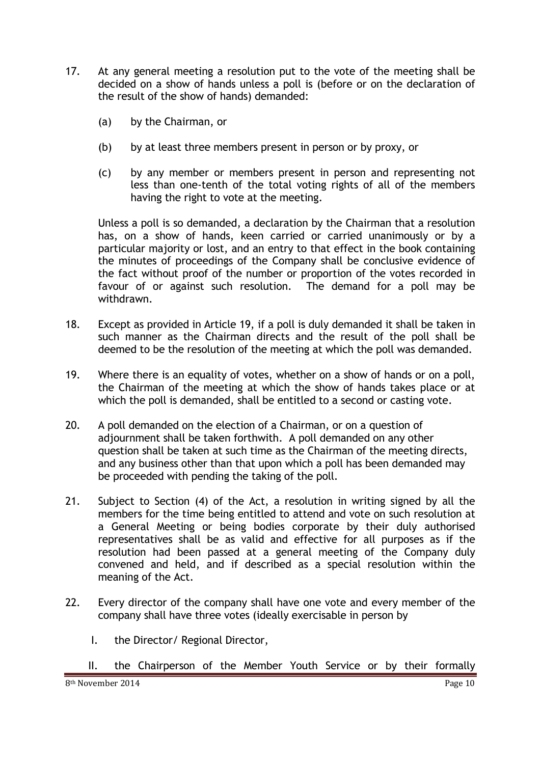- 17. At any general meeting a resolution put to the vote of the meeting shall be decided on a show of hands unless a poll is (before or on the declaration of the result of the show of hands) demanded:
	- (a) by the Chairman, or
	- (b) by at least three members present in person or by proxy, or
	- (c) by any member or members present in person and representing not less than one-tenth of the total voting rights of all of the members having the right to vote at the meeting.

Unless a poll is so demanded, a declaration by the Chairman that a resolution has, on a show of hands, keen carried or carried unanimously or by a particular majority or lost, and an entry to that effect in the book containing the minutes of proceedings of the Company shall be conclusive evidence of the fact without proof of the number or proportion of the votes recorded in favour of or against such resolution. The demand for a poll may be withdrawn.

- 18. Except as provided in Article 19, if a poll is duly demanded it shall be taken in such manner as the Chairman directs and the result of the poll shall be deemed to be the resolution of the meeting at which the poll was demanded.
- 19. Where there is an equality of votes, whether on a show of hands or on a poll, the Chairman of the meeting at which the show of hands takes place or at which the poll is demanded, shall be entitled to a second or casting vote.
- 20. A poll demanded on the election of a Chairman, or on a question of adjournment shall be taken forthwith. A poll demanded on any other question shall be taken at such time as the Chairman of the meeting directs, and any business other than that upon which a poll has been demanded may be proceeded with pending the taking of the poll.
- 21. Subject to Section (4) of the Act, a resolution in writing signed by all the members for the time being entitled to attend and vote on such resolution at a General Meeting or being bodies corporate by their duly authorised representatives shall be as valid and effective for all purposes as if the resolution had been passed at a general meeting of the Company duly convened and held, and if described as a special resolution within the meaning of the Act.
- 22. Every director of the company shall have one vote and every member of the company shall have three votes (ideally exercisable in person by
	- I. the Director/ Regional Director,
	- II. the Chairperson of the Member Youth Service or by their formally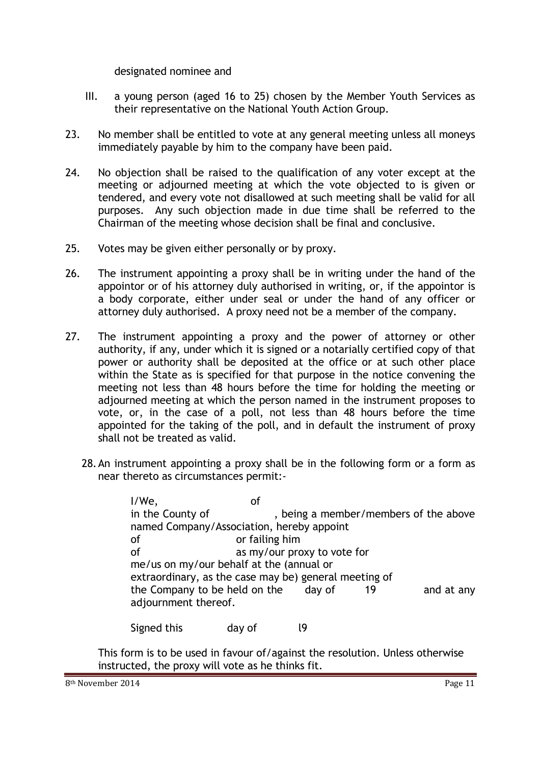designated nominee and

- III. a young person (aged 16 to 25) chosen by the Member Youth Services as their representative on the National Youth Action Group.
- 23. No member shall be entitled to vote at any general meeting unless all moneys immediately payable by him to the company have been paid.
- 24. No objection shall be raised to the qualification of any voter except at the meeting or adjourned meeting at which the vote objected to is given or tendered, and every vote not disallowed at such meeting shall be valid for all purposes. Any such objection made in due time shall be referred to the Chairman of the meeting whose decision shall be final and conclusive.
- 25. Votes may be given either personally or by proxy.
- 26. The instrument appointing a proxy shall be in writing under the hand of the appointor or of his attorney duly authorised in writing, or, if the appointor is a body corporate, either under seal or under the hand of any officer or attorney duly authorised. A proxy need not be a member of the company.
- 27. The instrument appointing a proxy and the power of attorney or other authority, if any, under which it is signed or a notarially certified copy of that power or authority shall be deposited at the office or at such other place within the State as is specified for that purpose in the notice convening the meeting not less than 48 hours before the time for holding the meeting or adjourned meeting at which the person named in the instrument proposes to vote, or, in the case of a poll, not less than 48 hours before the time appointed for the taking of the poll, and in default the instrument of proxy shall not be treated as valid.
	- 28.An instrument appointing a proxy shall be in the following form or a form as near thereto as circumstances permit:-

I/We, of in the County of , being a member/members of the above named Company/Association, hereby appoint of or failing him of as my/our proxy to vote for me/us on my/our behalf at the (annual or extraordinary, as the case may be) general meeting of the Company to be held on the day of 19 and at any adjournment thereof.

Signed this day of l9

This form is to be used in favour of/against the resolution. Unless otherwise instructed, the proxy will vote as he thinks fit.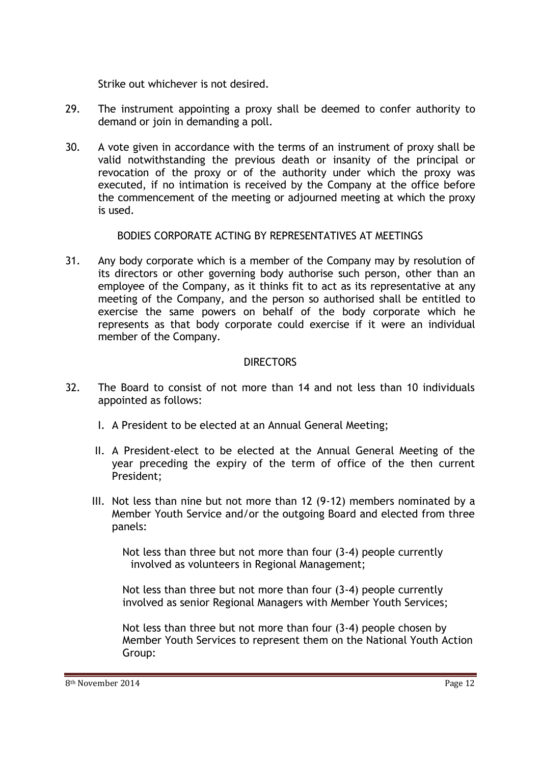Strike out whichever is not desired.

- 29. The instrument appointing a proxy shall be deemed to confer authority to demand or join in demanding a poll.
- 30. A vote given in accordance with the terms of an instrument of proxy shall be valid notwithstanding the previous death or insanity of the principal or revocation of the proxy or of the authority under which the proxy was executed, if no intimation is received by the Company at the office before the commencement of the meeting or adjourned meeting at which the proxy is used.

## BODIES CORPORATE ACTING BY REPRESENTATIVES AT MEETINGS

31. Any body corporate which is a member of the Company may by resolution of its directors or other governing body authorise such person, other than an employee of the Company, as it thinks fit to act as its representative at any meeting of the Company, and the person so authorised shall be entitled to exercise the same powers on behalf of the body corporate which he represents as that body corporate could exercise if it were an individual member of the Company.

## **DIRECTORS**

- 32. The Board to consist of not more than 14 and not less than 10 individuals appointed as follows:
	- I. A President to be elected at an Annual General Meeting;
	- II. A President-elect to be elected at the Annual General Meeting of the year preceding the expiry of the term of office of the then current President;
	- III. Not less than nine but not more than 12 (9-12) members nominated by a Member Youth Service and/or the outgoing Board and elected from three panels:

Not less than three but not more than four (3-4) people currently involved as volunteers in Regional Management;

Not less than three but not more than four (3-4) people currently involved as senior Regional Managers with Member Youth Services;

Not less than three but not more than four (3-4) people chosen by Member Youth Services to represent them on the National Youth Action Group: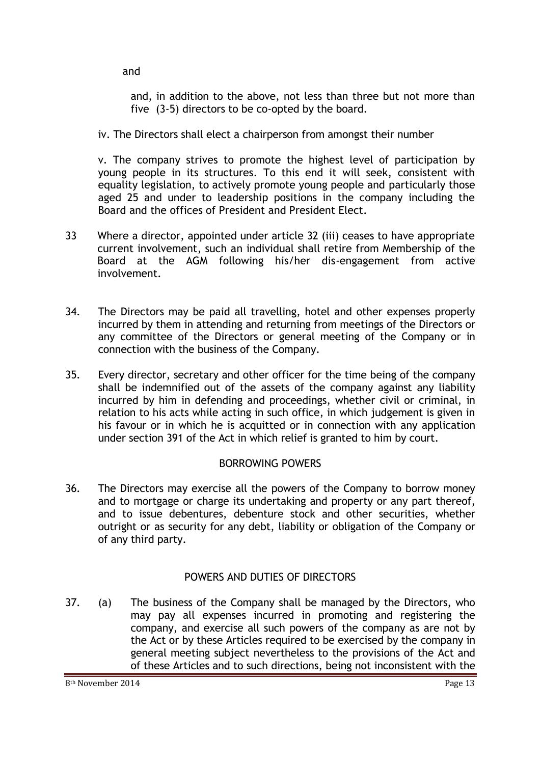and

and, in addition to the above, not less than three but not more than five (3-5) directors to be co-opted by the board.

iv. The Directors shall elect a chairperson from amongst their number

v. The company strives to promote the highest level of participation by young people in its structures. To this end it will seek, consistent with equality legislation, to actively promote young people and particularly those aged 25 and under to leadership positions in the company including the Board and the offices of President and President Elect.

- 33 Where a director, appointed under article 32 (iii) ceases to have appropriate current involvement, such an individual shall retire from Membership of the Board at the AGM following his/her dis-engagement from active involvement.
- 34. The Directors may be paid all travelling, hotel and other expenses properly incurred by them in attending and returning from meetings of the Directors or any committee of the Directors or general meeting of the Company or in connection with the business of the Company.
- 35. Every director, secretary and other officer for the time being of the company shall be indemnified out of the assets of the company against any liability incurred by him in defending and proceedings, whether civil or criminal, in relation to his acts while acting in such office, in which judgement is given in his favour or in which he is acquitted or in connection with any application under section 391 of the Act in which relief is granted to him by court.

# BORROWING POWERS

36. The Directors may exercise all the powers of the Company to borrow money and to mortgage or charge its undertaking and property or any part thereof, and to issue debentures, debenture stock and other securities, whether outright or as security for any debt, liability or obligation of the Company or of any third party.

# POWERS AND DUTIES OF DIRECTORS

37. (a) The business of the Company shall be managed by the Directors, who may pay all expenses incurred in promoting and registering the company, and exercise all such powers of the company as are not by the Act or by these Articles required to be exercised by the company in general meeting subject nevertheless to the provisions of the Act and of these Articles and to such directions, being not inconsistent with the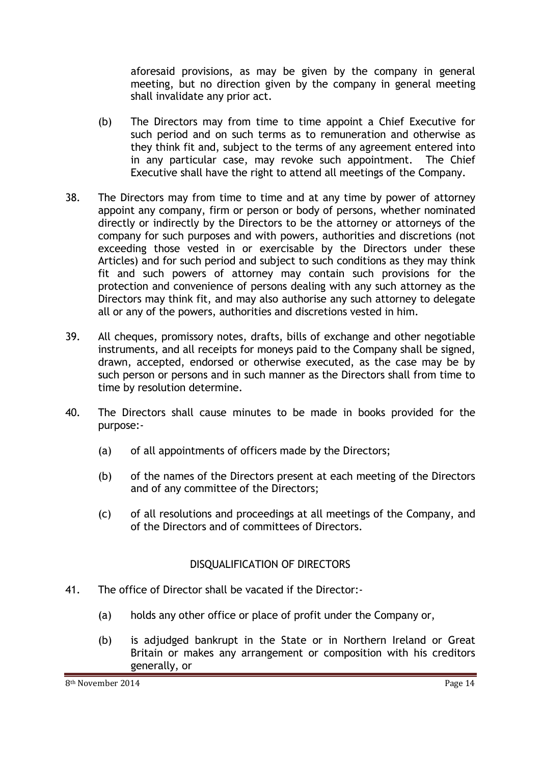aforesaid provisions, as may be given by the company in general meeting, but no direction given by the company in general meeting shall invalidate any prior act.

- (b) The Directors may from time to time appoint a Chief Executive for such period and on such terms as to remuneration and otherwise as they think fit and, subject to the terms of any agreement entered into in any particular case, may revoke such appointment. The Chief Executive shall have the right to attend all meetings of the Company.
- 38. The Directors may from time to time and at any time by power of attorney appoint any company, firm or person or body of persons, whether nominated directly or indirectly by the Directors to be the attorney or attorneys of the company for such purposes and with powers, authorities and discretions (not exceeding those vested in or exercisable by the Directors under these Articles) and for such period and subject to such conditions as they may think fit and such powers of attorney may contain such provisions for the protection and convenience of persons dealing with any such attorney as the Directors may think fit, and may also authorise any such attorney to delegate all or any of the powers, authorities and discretions vested in him.
- 39. All cheques, promissory notes, drafts, bills of exchange and other negotiable instruments, and all receipts for moneys paid to the Company shall be signed, drawn, accepted, endorsed or otherwise executed, as the case may be by such person or persons and in such manner as the Directors shall from time to time by resolution determine.
- 40. The Directors shall cause minutes to be made in books provided for the purpose:-
	- (a) of all appointments of officers made by the Directors;
	- (b) of the names of the Directors present at each meeting of the Directors and of any committee of the Directors;
	- (c) of all resolutions and proceedings at all meetings of the Company, and of the Directors and of committees of Directors.

# DISQUALIFICATION OF DIRECTORS

- 41. The office of Director shall be vacated if the Director:-
	- (a) holds any other office or place of profit under the Company or,
	- (b) is adjudged bankrupt in the State or in Northern Ireland or Great Britain or makes any arrangement or composition with his creditors generally, or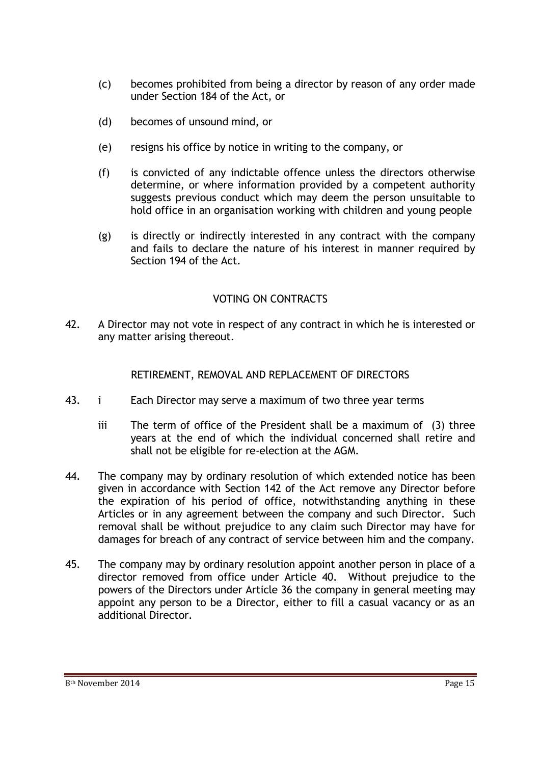- (c) becomes prohibited from being a director by reason of any order made under Section 184 of the Act, or
- (d) becomes of unsound mind, or
- (e) resigns his office by notice in writing to the company, or
- (f) is convicted of any indictable offence unless the directors otherwise determine, or where information provided by a competent authority suggests previous conduct which may deem the person unsuitable to hold office in an organisation working with children and young people
- (g) is directly or indirectly interested in any contract with the company and fails to declare the nature of his interest in manner required by Section 194 of the Act.

#### VOTING ON CONTRACTS

42. A Director may not vote in respect of any contract in which he is interested or any matter arising thereout.

RETIREMENT, REMOVAL AND REPLACEMENT OF DIRECTORS

- 43. i Each Director may serve a maximum of two three year terms
	- iii The term of office of the President shall be a maximum of (3) three years at the end of which the individual concerned shall retire and shall not be eligible for re-election at the AGM.
- 44. The company may by ordinary resolution of which extended notice has been given in accordance with Section 142 of the Act remove any Director before the expiration of his period of office, notwithstanding anything in these Articles or in any agreement between the company and such Director. Such removal shall be without prejudice to any claim such Director may have for damages for breach of any contract of service between him and the company.
- 45. The company may by ordinary resolution appoint another person in place of a director removed from office under Article 40. Without prejudice to the powers of the Directors under Article 36 the company in general meeting may appoint any person to be a Director, either to fill a casual vacancy or as an additional Director.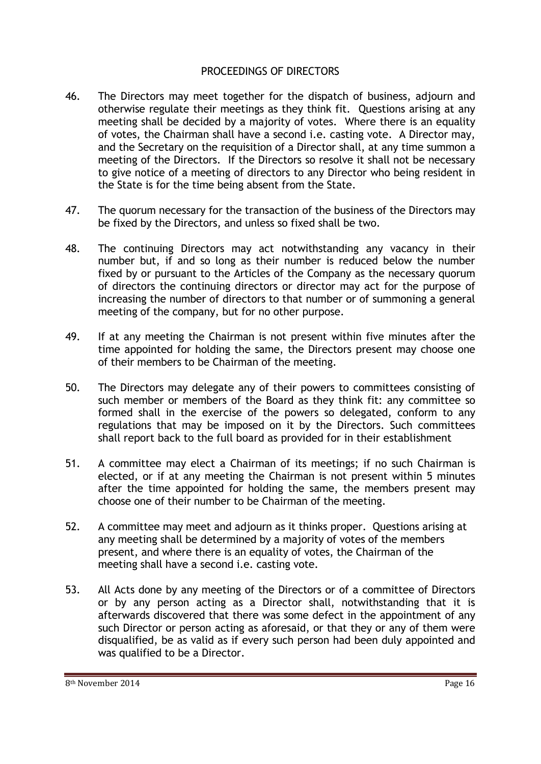#### PROCEEDINGS OF DIRECTORS

- 46. The Directors may meet together for the dispatch of business, adjourn and otherwise regulate their meetings as they think fit. Questions arising at any meeting shall be decided by a majority of votes. Where there is an equality of votes, the Chairman shall have a second i.e. casting vote. A Director may, and the Secretary on the requisition of a Director shall, at any time summon a meeting of the Directors. If the Directors so resolve it shall not be necessary to give notice of a meeting of directors to any Director who being resident in the State is for the time being absent from the State.
- 47. The quorum necessary for the transaction of the business of the Directors may be fixed by the Directors, and unless so fixed shall be two.
- 48. The continuing Directors may act notwithstanding any vacancy in their number but, if and so long as their number is reduced below the number fixed by or pursuant to the Articles of the Company as the necessary quorum of directors the continuing directors or director may act for the purpose of increasing the number of directors to that number or of summoning a general meeting of the company, but for no other purpose.
- 49. If at any meeting the Chairman is not present within five minutes after the time appointed for holding the same, the Directors present may choose one of their members to be Chairman of the meeting.
- 50. The Directors may delegate any of their powers to committees consisting of such member or members of the Board as they think fit: any committee so formed shall in the exercise of the powers so delegated, conform to any regulations that may be imposed on it by the Directors. Such committees shall report back to the full board as provided for in their establishment
- 51. A committee may elect a Chairman of its meetings; if no such Chairman is elected, or if at any meeting the Chairman is not present within 5 minutes after the time appointed for holding the same, the members present may choose one of their number to be Chairman of the meeting.
- 52. A committee may meet and adjourn as it thinks proper. Questions arising at any meeting shall be determined by a majority of votes of the members present, and where there is an equality of votes, the Chairman of the meeting shall have a second i.e. casting vote.
- 53. All Acts done by any meeting of the Directors or of a committee of Directors or by any person acting as a Director shall, notwithstanding that it is afterwards discovered that there was some defect in the appointment of any such Director or person acting as aforesaid, or that they or any of them were disqualified, be as valid as if every such person had been duly appointed and was qualified to be a Director.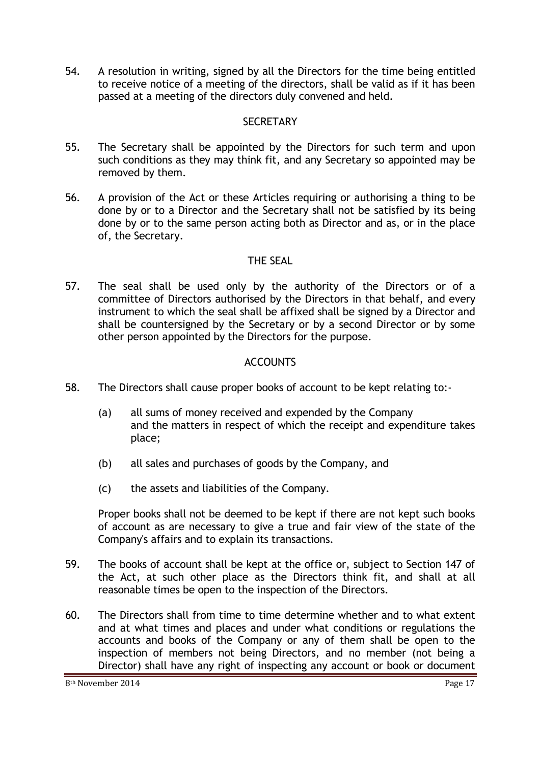54. A resolution in writing, signed by all the Directors for the time being entitled to receive notice of a meeting of the directors, shall be valid as if it has been passed at a meeting of the directors duly convened and held.

## **SECRETARY**

- 55. The Secretary shall be appointed by the Directors for such term and upon such conditions as they may think fit, and any Secretary so appointed may be removed by them.
- 56. A provision of the Act or these Articles requiring or authorising a thing to be done by or to a Director and the Secretary shall not be satisfied by its being done by or to the same person acting both as Director and as, or in the place of, the Secretary.

## THE SEAL

57. The seal shall be used only by the authority of the Directors or of a committee of Directors authorised by the Directors in that behalf, and every instrument to which the seal shall be affixed shall be signed by a Director and shall be countersigned by the Secretary or by a second Director or by some other person appointed by the Directors for the purpose.

# **ACCOUNTS**

- 58. The Directors shall cause proper books of account to be kept relating to:-
	- (a) all sums of money received and expended by the Company and the matters in respect of which the receipt and expenditure takes place;
	- (b) all sales and purchases of goods by the Company, and
	- (c) the assets and liabilities of the Company.

Proper books shall not be deemed to be kept if there are not kept such books of account as are necessary to give a true and fair view of the state of the Company's affairs and to explain its transactions.

- 59. The books of account shall be kept at the office or, subject to Section 147 of the Act, at such other place as the Directors think fit, and shall at all reasonable times be open to the inspection of the Directors.
- 60. The Directors shall from time to time determine whether and to what extent and at what times and places and under what conditions or regulations the accounts and books of the Company or any of them shall be open to the inspection of members not being Directors, and no member (not being a Director) shall have any right of inspecting any account or book or document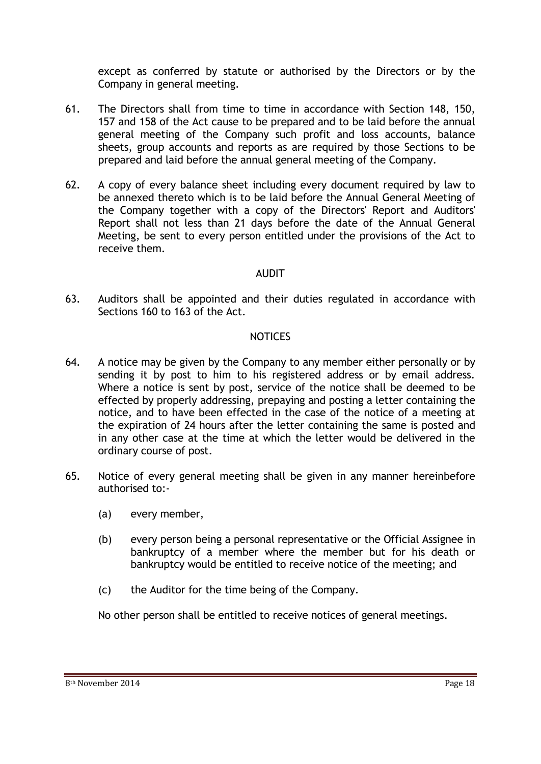except as conferred by statute or authorised by the Directors or by the Company in general meeting.

- 61. The Directors shall from time to time in accordance with Section 148, 150, 157 and 158 of the Act cause to be prepared and to be laid before the annual general meeting of the Company such profit and loss accounts, balance sheets, group accounts and reports as are required by those Sections to be prepared and laid before the annual general meeting of the Company.
- 62. A copy of every balance sheet including every document required by law to be annexed thereto which is to be laid before the Annual General Meeting of the Company together with a copy of the Directors' Report and Auditors' Report shall not less than 21 days before the date of the Annual General Meeting, be sent to every person entitled under the provisions of the Act to receive them.

#### AUDIT

63. Auditors shall be appointed and their duties regulated in accordance with Sections 160 to 163 of the Act.

#### NOTICES

- 64. A notice may be given by the Company to any member either personally or by sending it by post to him to his registered address or by email address. Where a notice is sent by post, service of the notice shall be deemed to be effected by properly addressing, prepaying and posting a letter containing the notice, and to have been effected in the case of the notice of a meeting at the expiration of 24 hours after the letter containing the same is posted and in any other case at the time at which the letter would be delivered in the ordinary course of post.
- 65. Notice of every general meeting shall be given in any manner hereinbefore authorised to:-
	- (a) every member,
	- (b) every person being a personal representative or the Official Assignee in bankruptcy of a member where the member but for his death or bankruptcy would be entitled to receive notice of the meeting; and
	- (c) the Auditor for the time being of the Company.

No other person shall be entitled to receive notices of general meetings.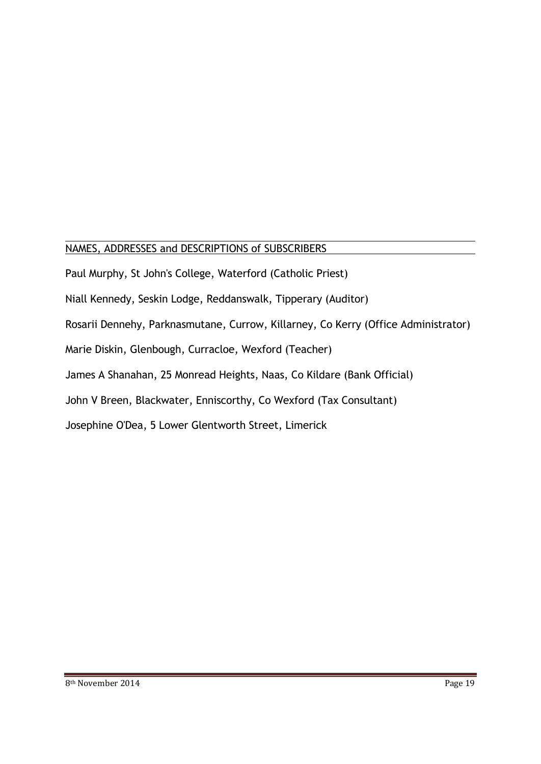#### $\overline{a}$ NAMES, ADDRESSES and DESCRIPTIONS of SUBSCRIBERS

Paul Murphy, St John's College, Waterford (Catholic Priest) Niall Kennedy, Seskin Lodge, Reddanswalk, Tipperary (Auditor) Rosarii Dennehy, Parknasmutane, Currow, Killarney, Co Kerry (Office Administrator) Marie Diskin, Glenbough, Curracloe, Wexford (Teacher) James A Shanahan, 25 Monread Heights, Naas, Co Kildare (Bank Official) John V Breen, Blackwater, Enniscorthy, Co Wexford (Tax Consultant) Josephine O'Dea, 5 Lower Glentworth Street, Limerick